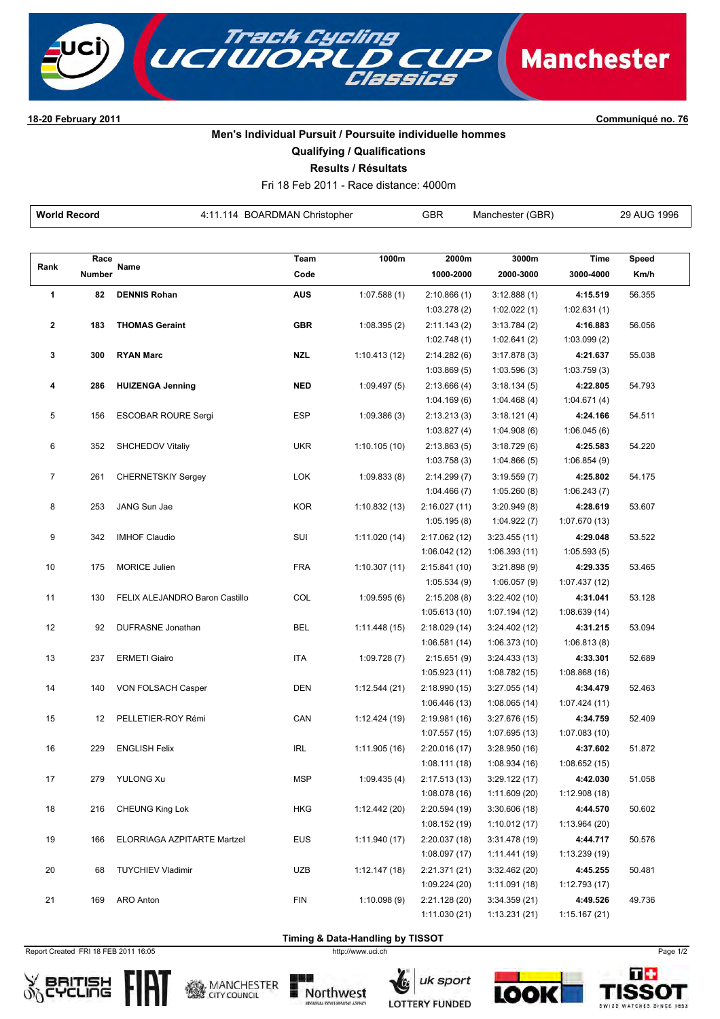

**1820 February 2011 Communiqué no. 76**

## **Men's Individual Pursuit / Poursuite individuelle hommes**

**Qualifying / Qualifications**

**Results / Résultats**

Fri 18 Feb 2011 Race distance: 4000m

| <b>World Record</b>     |        | 4:11.114 BOARDMAN Christopher  |            |               | <b>GBR</b><br>Manchester (GBR) |                               |                           | 29 AUG 1996 |
|-------------------------|--------|--------------------------------|------------|---------------|--------------------------------|-------------------------------|---------------------------|-------------|
|                         |        |                                |            |               |                                |                               |                           |             |
|                         | Race   |                                | Team       | 1000m         | 2000m                          | 3000m                         | <b>Time</b>               | Speed       |
| Rank                    | Number | Name                           | Code       |               | 1000-2000                      | 2000-3000                     | 3000-4000                 | Km/h        |
| 1                       | 82     | <b>DENNIS Rohan</b>            | <b>AUS</b> | 1:07.588(1)   | 2:10.866(1)                    | 3:12.888(1)                   | 4:15.519                  | 56.355      |
|                         |        |                                |            |               | 1:03.278(2)                    | 1:02.022(1)                   | 1:02.631(1)               |             |
| $\overline{\mathbf{2}}$ | 183    | <b>THOMAS Geraint</b>          | <b>GBR</b> | 1:08.395(2)   | 2:11.143(2)                    | 3:13.784(2)                   | 4:16.883                  | 56.056      |
|                         |        |                                |            |               | 1:02.748(1)                    | 1:02.641(2)                   | 1:03.099(2)               |             |
| 3                       | 300    | <b>RYAN Marc</b>               | <b>NZL</b> | 1:10.413(12)  | 2:14.282(6)                    | 3:17.878(3)                   | 4:21.637                  | 55.038      |
|                         |        |                                |            |               | 1:03.869(5)                    | 1:03.596(3)                   | 1:03.759(3)               |             |
| 4                       | 286    | <b>HUIZENGA Jenning</b>        | <b>NED</b> | 1:09.497(5)   | 2:13.666(4)                    | 3:18.134(5)                   | 4:22.805                  | 54.793      |
|                         |        |                                |            |               | 1:04.169(6)                    | 1:04.468(4)                   | 1:04.671(4)               |             |
| 5                       | 156    | <b>ESCOBAR ROURE Sergi</b>     | ESP        | 1:09.386(3)   | 2:13.213(3)                    | 3:18.121(4)                   | 4:24.166                  | 54.511      |
|                         |        |                                |            |               | 1:03.827(4)                    | 1:04.908(6)                   | 1:06.045(6)               |             |
| 6                       | 352    | SHCHEDOV Vitaliy               | <b>UKR</b> | 1:10.105(10)  | 2:13.863(5)                    | 3:18.729(6)                   | 4:25.583                  | 54.220      |
|                         |        |                                |            |               | 1:03.758(3)                    | 1:04.866(5)                   | 1:06.854(9)               |             |
| $\overline{7}$          | 261    | <b>CHERNETSKIY Sergey</b>      | <b>LOK</b> | 1:09.833(8)   | 2:14.299(7)                    | 3:19.559(7)                   | 4:25.802                  | 54.175      |
|                         |        |                                |            |               | 1:04.466(7)                    | 1:05.260(8)                   | 1:06.243(7)               |             |
| 8                       | 253    | JANG Sun Jae                   | <b>KOR</b> | 1:10.832(13)  | 2:16.027 (11)                  | 3:20.949(8)                   | 4:28.619                  | 53.607      |
|                         |        |                                |            |               | 1:05.195(8)                    | 1:04.922(7)                   | 1:07.670 (13)             |             |
| 9                       | 342    | <b>IMHOF Claudio</b>           | SUI        | 1:11.020 (14) | 2:17.062 (12)                  | 3:23.455(11)                  | 4:29.048                  | 53.522      |
|                         |        |                                |            |               | 1:06.042(12)                   | 1:06.393(11)                  | 1:05.593(5)               |             |
| 10                      | 175    | <b>MORICE Julien</b>           | <b>FRA</b> | 1:10.307(11)  | 2:15.841 (10)                  | 3:21.898(9)                   | 4:29.335                  | 53.465      |
|                         |        |                                |            |               | 1:05.534 (9)                   | 1:06.057(9)                   | 1:07.437 (12)             |             |
| 11                      | 130    | FELIX ALEJANDRO Baron Castillo | COL        | 1:09.595(6)   | 2:15.208(8)                    | 3:22.402(10)                  | 4:31.041                  | 53.128      |
|                         |        |                                |            |               | 1:05.613(10)                   | 1:07.194 (12)                 | 1:08.639(14)              |             |
| 12                      | 92     | DUFRASNE Jonathan              | <b>BEL</b> | 1:11.448(15)  | 2:18.029 (14)                  | 3:24.402 (12)                 | 4:31.215                  | 53.094      |
|                         |        |                                |            |               | 1:06.581(14)                   | 1:06.373(10)                  | 1:06.813(8)               |             |
| 13                      | 237    | <b>ERMETI Giairo</b>           | <b>ITA</b> | 1:09.728(7)   | 2:15.651(9)<br>1:05.923(11)    | 3:24.433(13)<br>1:08.782 (15) | 4:33.301                  | 52.689      |
| 14                      | 140    | VON FOLSACH Casper             | DEN        | 1:12.544(21)  | 2:18.990 (15)                  | 3:27.055(14)                  | 1:08.868 (16)<br>4:34.479 | 52.463      |
|                         |        |                                |            |               | 1:06.446(13)                   | 1:08.065(14)                  | 1:07.424 (11)             |             |
| 15                      | 12     | PELLETIER-ROY Rémi             | CAN        | 1:12.424 (19) | 2:19.981 (16)                  | 3:27.676 (15)                 | 4:34.759                  | 52.409      |
|                         |        |                                |            |               | 1:07.557(15)                   | 1:07.695 (13)                 | 1:07.083 (10)             |             |
| 16                      | 229    | <b>ENGLISH Felix</b>           | <b>IRL</b> | 1:11.905(16)  | 2:20.016(17)                   | 3:28.950(16)                  | 4:37.602                  | 51.872      |
|                         |        |                                |            |               | 1:08.111(18)                   | 1:08.934 (16)                 | 1:08.652(15)              |             |
| 17                      | 279    | <b>YULONG Xu</b>               | <b>MSP</b> | 1:09.435(4)   | 2:17.513(13)                   | 3:29.122(17)                  | 4:42.030                  | 51.058      |
|                         |        |                                |            |               | 1:08.078(16)                   | 1:11.609 (20)                 | 1:12.908(18)              |             |
| 18                      | 216    | CHEUNG King Lok                | <b>HKG</b> | 1:12.442 (20) | 2:20.594 (19)                  | 3:30.606(18)                  | 4:44.570                  | 50.602      |
|                         |        |                                |            |               | 1:08.152 (19)                  | 1:10.012(17)                  | 1:13.964 (20)             |             |
| 19                      | 166    | ELORRIAGA AZPITARTE Martzel    | <b>EUS</b> | 1:11.940(17)  | 2:20.037 (18)                  | 3:31.478(19)                  | 4:44.717                  | 50.576      |
|                         |        |                                |            |               | 1:08.097 (17)                  | 1:11.441 (19)                 | 1:13.239 (19)             |             |
| 20                      | 68     | <b>TUYCHIEV Vladimir</b>       | <b>UZB</b> | 1:12.147(18)  | 2:21.371 (21)                  | 3:32.462 (20)                 | 4:45.255                  | 50.481      |
|                         |        |                                |            |               | 1:09.224 (20)                  | 1:11.091 (18)                 | 1:12.793 (17)             |             |
| 21                      | 169    | ARO Anton                      | <b>FIN</b> | 1:10.098(9)   | 2:21.128 (20)                  | 3:34.359(21)                  | 4:49.526                  | 49.736      |
|                         |        |                                |            |               | 1:11.030 (21)                  | 1:13.231(21)                  | 1:15.167(21)              |             |

**Timing & Data-Handling by TISSOT** 

Report Created FRI 18 FEB 2011 16:05 http://www.uci.ch Page 1/2